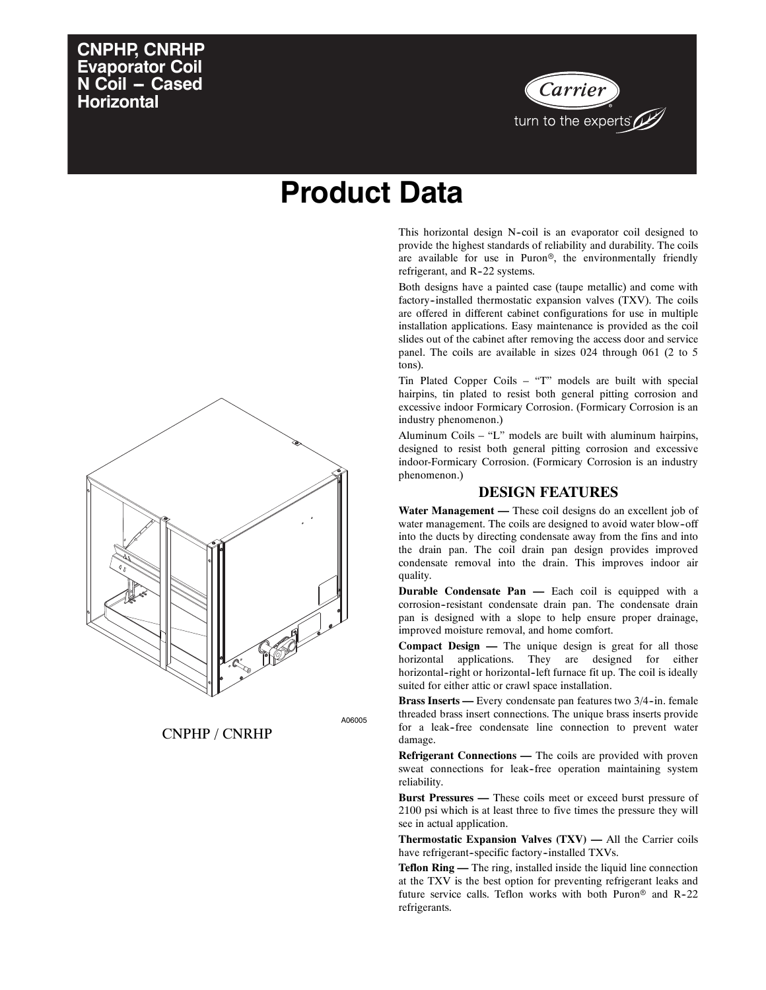# **CNPHP, CNRHP Evaporator Coil N Coil - Cased Horizontal**



# **Product Data**

This horizontal design N-coil is an evaporator coil designed to provide the highest standards of reliability and durability. The coils are available for use in Puron®, the environmentally friendly refrigerant, and R-22 systems.

Both designs have a painted case (taupe metallic) and come with factory--installed thermostatic expansion valves (TXV). The coils are offered in different cabinet configurations for use in multiple installation applications. Easy maintenance is provided as the coil slides out of the cabinet after removing the access door and service panel. The coils are available in sizes 024 through 061 (2 to 5 tons).

Tin Plated Copper Coils – "T" models are built with special hairpins, tin plated to resist both general pitting corrosion and excessive indoor Formicary Corrosion. (Formicary Corrosion is an industry phenomenon.)

Aluminum Coils – "L" models are built with aluminum hairpins, designed to resist both general pitting corrosion and excessive indoor-Formicary Corrosion. (Formicary Corrosion is an industry phenomenon.)

#### **DESIGN FEATURES**

**Water Management —** These coil designs do an excellent job of water management. The coils are designed to avoid water blow-off into the ducts by directing condensate away from the fins and into the drain pan. The coil drain pan design provides improved condensate removal into the drain. This improves indoor air quality.

**Durable Condensate Pan —** Each coil is equipped with a corrosion--resistant condensate drain pan. The condensate drain pan is designed with a slope to help ensure proper drainage, improved moisture removal, and home comfort.

**Compact Design —** The unique design is great for all those horizontal applications. They are designed for either horizontal-right or horizontal-left furnace fit up. The coil is ideally suited for either attic or crawl space installation.

**Brass Inserts** — Every condensate pan features two 3/4-in. female threaded brass insert connections. The unique brass inserts provide for a leak-free condensate line connection to prevent water damage.

**Refrigerant Connections —** The coils are provided with proven sweat connections for leak-free operation maintaining system reliability.

**Burst Pressures —** These coils meet or exceed burst pressure of 2100 psi which is at least three to five times the pressure they will see in actual application.

**Thermostatic Expansion Valves (TXV) —** All the Carrier coils have refrigerant-specific factory-installed TXVs.

**Teflon Ring —** The ring, installed inside the liquid line connection at the TXV is the best option for preventing refrigerant leaks and future service calls. Teflon works with both Puron<sup>®</sup> and R-22 refrigerants.



CNPHP / CNRHP

A06005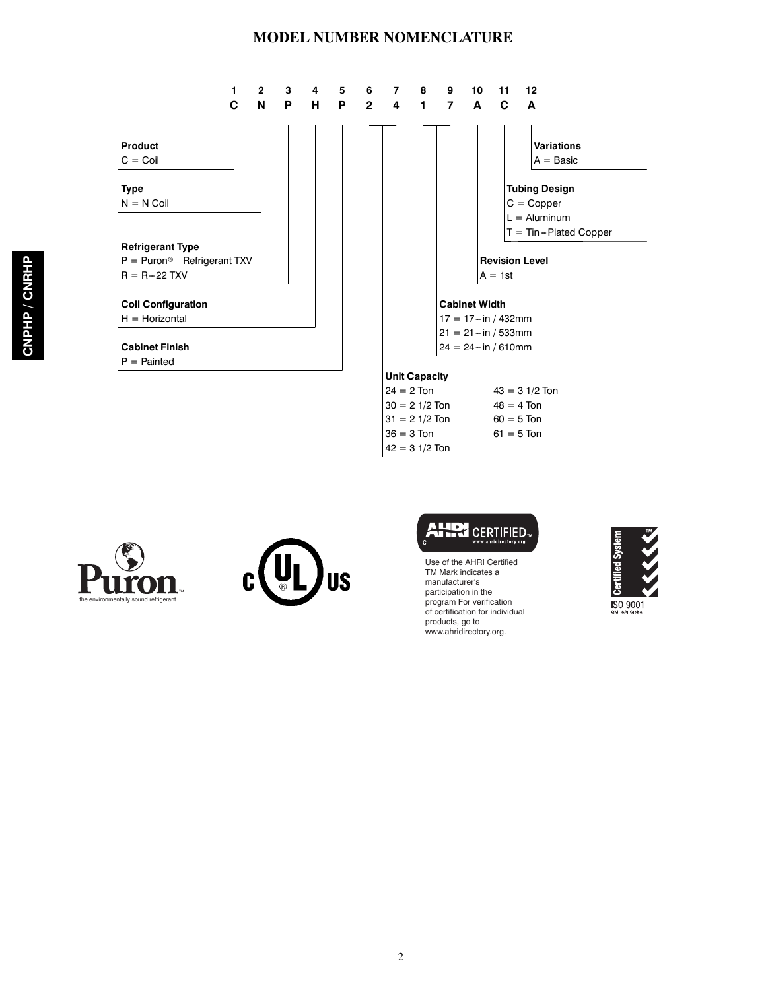#### **MODEL NUMBER NOMENCLATURE**









Use of the AHRI Certified TM Mark indicates a manufacturer's participation in the program For verification of certification for individual products, go to www.ahridirectory.org.

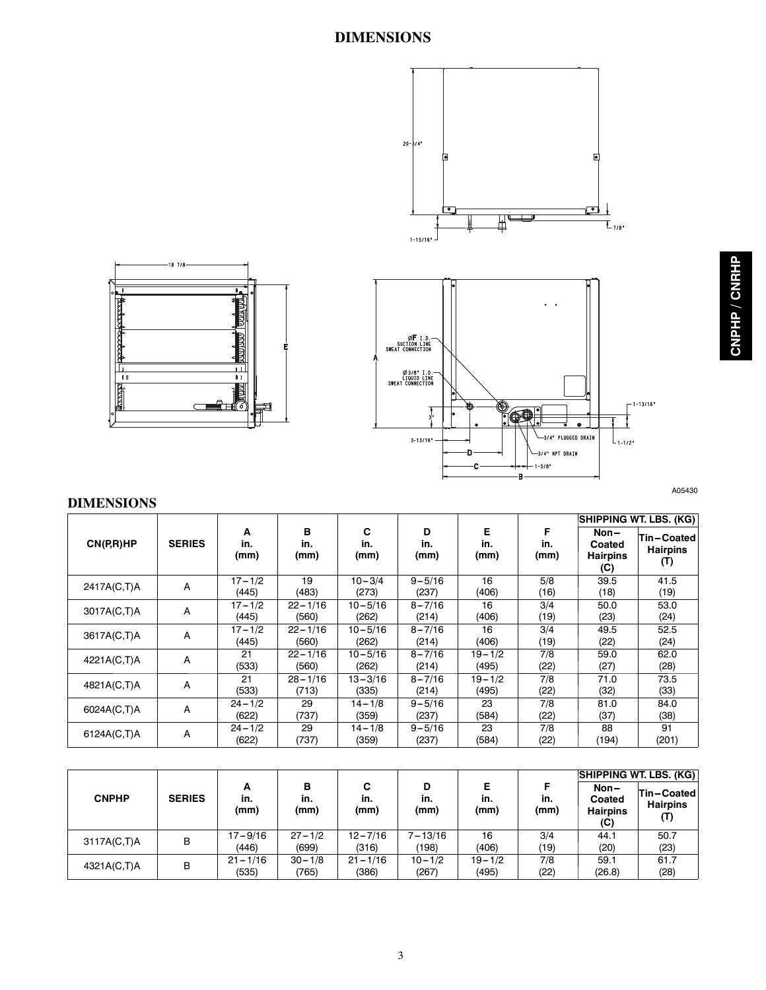## **DIMENSIONS**



# 끺 **Bay**  $\boxplus$   $\oslash$

 $-18$  7/8-

A05430

#### **DIMENSIONS**

|             |               |                     |                      |                      |                     |                     |                  | SHIPPING WT. LBS. (KG)                   |                                      |  |
|-------------|---------------|---------------------|----------------------|----------------------|---------------------|---------------------|------------------|------------------------------------------|--------------------------------------|--|
| CN(P,R)HP   | <b>SERIES</b> | A<br>in.<br>(mm)    | в<br>in.<br>(mm)     | C<br>in.<br>(mm)     | D<br>in.<br>(mm)    | Е<br>in.<br>(mm)    | F<br>in.<br>(mm) | Non-<br>Coated<br><b>Hairpins</b><br>(C) | Tin-Coated<br><b>Hairpins</b><br>(T) |  |
| 2417A(C,T)A | A             | $17 - 1/2$<br>(445) | 19<br>(483)          | $10 - 3/4$<br>(273)  | $9 - 5/16$<br>(237) | 16<br>(406)         | 5/8<br>(16)      | 39.5<br>(18)                             | 41.5<br>(19)                         |  |
| 3017A(C,T)A | A             | $17 - 1/2$<br>(445) | $22 - 1/16$<br>(560) | $10 - 5/16$<br>(262) | $8 - 7/16$<br>(214) | 16<br>(406)         | 3/4<br>(19)      | 50.0<br>(23)                             | 53.0<br>(24)                         |  |
| 3617A(C,T)A | A             | $17 - 1/2$<br>(445) | $22 - 1/16$<br>(560) | $10 - 5/16$<br>(262) | $8 - 7/16$<br>(214) | 16<br>(406)         | 3/4<br>(19)      | 49.5<br>(22)                             | 52.5<br>(24)                         |  |
| 4221A(C,T)A | Α             | 21<br>(533)         | $22 - 1/16$<br>(560) | $10 - 5/16$<br>(262) | $8 - 7/16$<br>(214) | $19 - 1/2$<br>(495) | 7/8<br>(22)      | 59.0<br>(27)                             | 62.0<br>(28)                         |  |
| 4821A(C,T)A | A             | 21<br>(533)         | $28 - 1/16$<br>(713) | $13 - 3/16$<br>(335) | $8 - 7/16$<br>(214) | $19 - 1/2$<br>(495) | 7/8<br>(22)      | 71.0<br>(32)                             | 73.5<br>(33)                         |  |
| 6024A(C,T)A | Α             | $24 - 1/2$<br>(622) | 29<br>(737)          | $14 - 1/8$<br>(359)  | $9 - 5/16$<br>(237) | 23<br>(584)         | 7/8<br>(22)      | 81.0<br>(37)                             | 84.0<br>(38)                         |  |
| 6124A(C,T)A | Α             | $24 - 1/2$<br>(622) | 29<br>(737)          | $14 - 1/8$<br>(359)  | $9 - 5/16$<br>(237) | 23<br>(584)         | 7/8<br>(22)      | 88<br>(194)                              | 91<br>(201)                          |  |

|              |               |                      |                     |                      |                      |                     |             | <b>SHIPPING WT. LBS. (KG)</b>              |                               |  |  |  |
|--------------|---------------|----------------------|---------------------|----------------------|----------------------|---------------------|-------------|--------------------------------------------|-------------------------------|--|--|--|
| <b>CNPHP</b> | <b>SERIES</b> | А<br>in.<br>(mm)     | в<br>in.<br>(mm)    | C<br>in.<br>(mm)     | D<br>in.<br>(mm)     | Е<br>in.<br>(mm)    | in.<br>(mm) | $Non-$<br>Coated<br><b>Hairpins</b><br>(C) | Tin-Coated<br><b>Hairpins</b> |  |  |  |
| 3117A(C,T)A  | в             | $17 - 9/16$<br>(446) | $27 - 1/2$<br>(699) | $12 - 7/16$<br>(316) | $7 - 13/16$<br>(198) | 16<br>(406)         | 3/4<br>(19) | 44.1<br>(20)                               | 50.7<br>(23)                  |  |  |  |
| 4321A(C,T)A  | в             | $21 - 1/16$<br>(535) | $30 - 1/8$<br>(765) | $21 - 1/16$<br>(386) | $10 - 1/2$<br>(267)  | $19 - 1/2$<br>(495) | 7/8<br>(22) | 59.1<br>(26.8)                             | 61.7<br>(28)                  |  |  |  |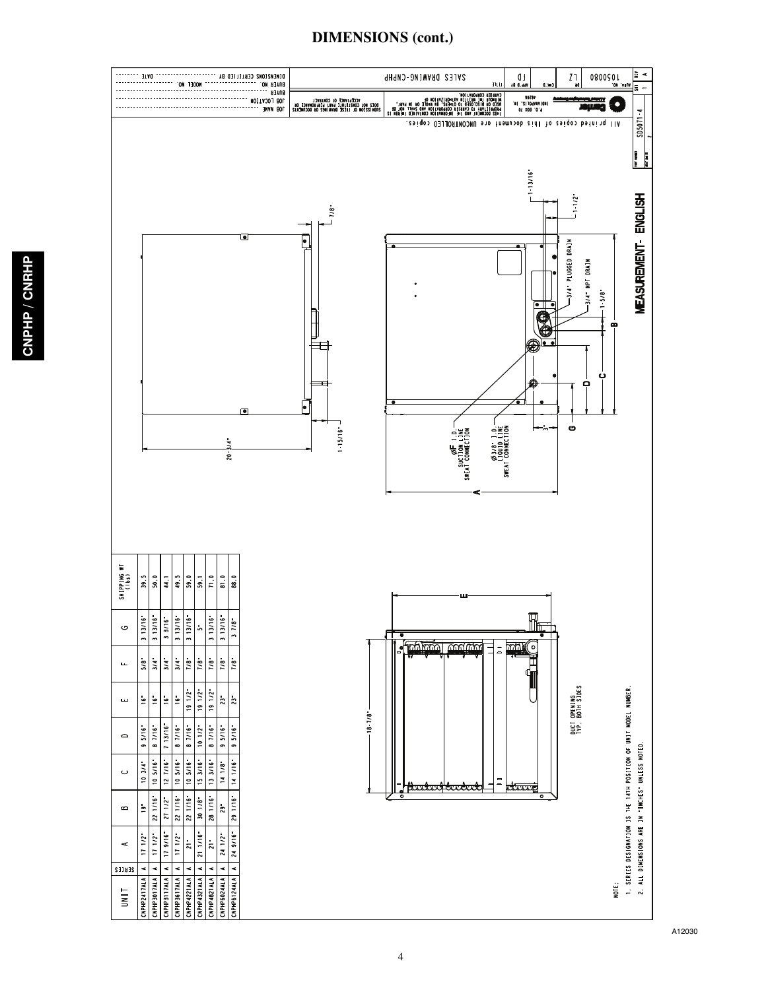#### **DIMENSIONS (cont.)**



A12030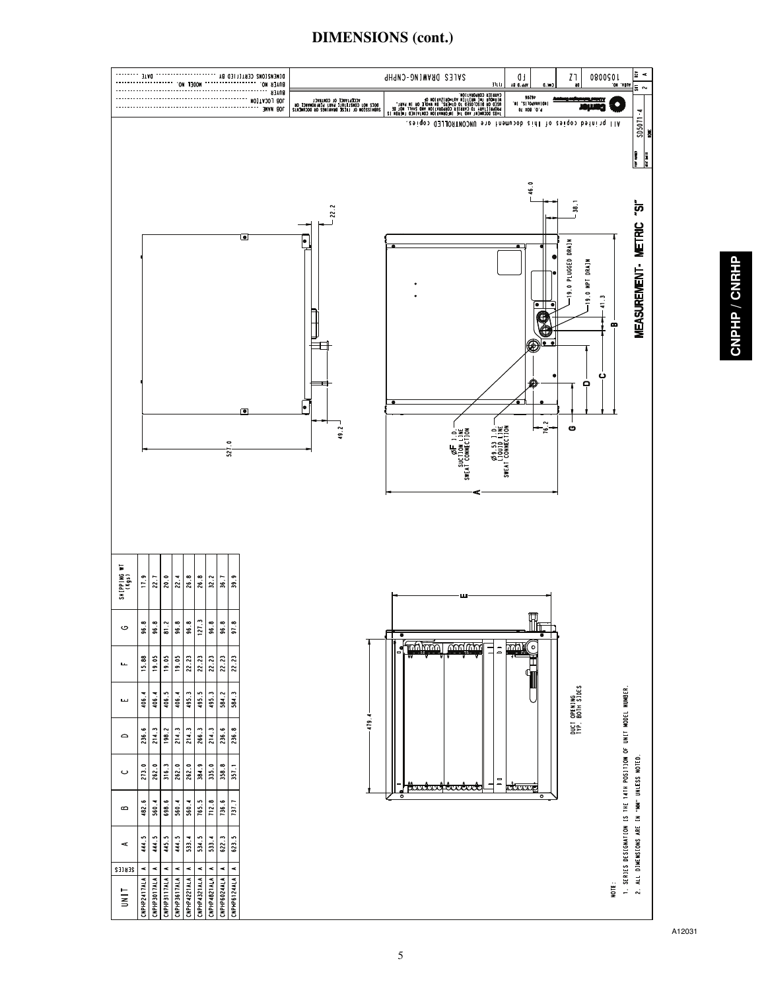

### **DIMENSIONS (cont.)**

CNPHP / CNRHP **CNPHP / CNRHP**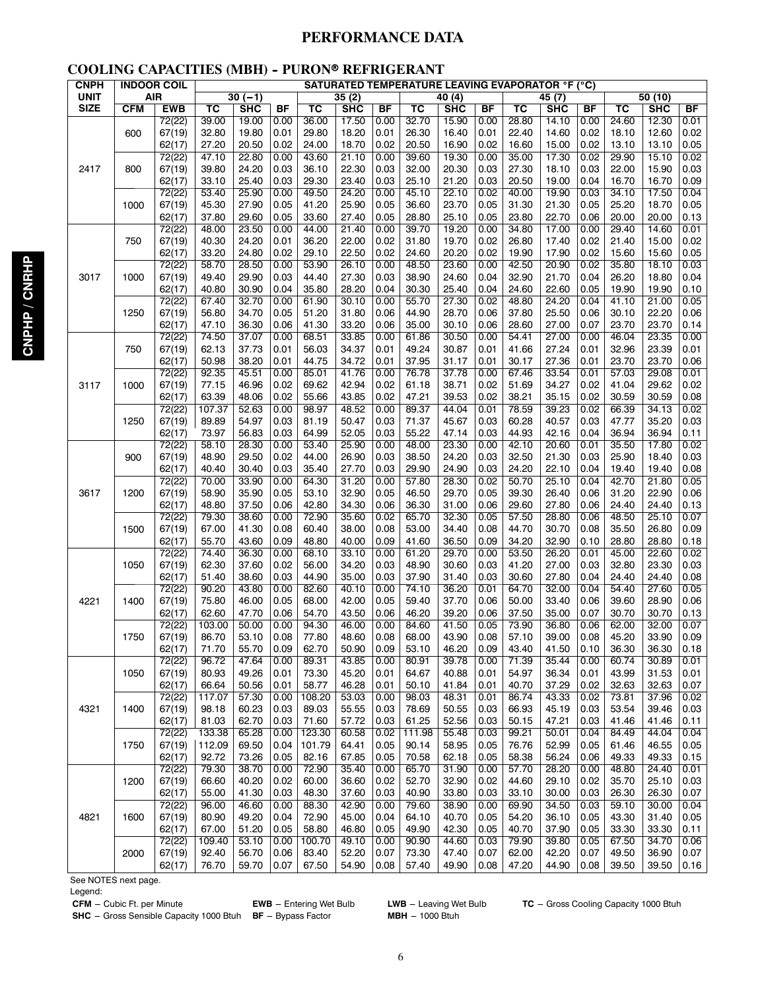#### **PERFORMANCE DATA**

#### **COOLING CAPACITIES (MBH) - PURON® REFRIGERANT**

| CNPH        |      | <b>INDOOR COIL</b> | <b>SATURATED TEMPERATURE LEAVING EVAPORATOR °F (°C)</b> |                |              |                |                |              |                |                |              |                |                |              |                |                |              |
|-------------|------|--------------------|---------------------------------------------------------|----------------|--------------|----------------|----------------|--------------|----------------|----------------|--------------|----------------|----------------|--------------|----------------|----------------|--------------|
| <b>UNIT</b> |      | <b>AIR</b>         |                                                         | $30(-1)$       |              |                | 35(2)          |              |                | 40(4)          |              |                | 45(7)          |              | 50(10)         |                |              |
| <b>SIZE</b> | CFM  | <b>EWB</b>         | тс                                                      | SHC            | <b>BF</b>    | тс             | <b>SHC</b>     | BF           | тс             | SHC            | BF           | тс             | SHC            | BF           | тс             | SHC            | <b>BF</b>    |
|             |      | 72(22)             | 39.00                                                   | 19.00          | 0.00         | 36.00          | 17.50          | 0.00         | 32.70          | 15.90          | 0.00         | 28.80          | 14.10          | 0.00         | 24.60          | 12.30          | 0.01         |
|             | 600  | 67(19)             | 32.80                                                   | 19.80          | 0.01         | 29.80          | 18.20          | 0.01         | 26.30          | 16.40          | 0.01         | 22.40          | 14.60          | 0.02         | 18.10          | 12.60          | 0.02         |
|             |      | 62(17)             | 27.20                                                   | 20.50          | 0.02         | 24.00          | 18.70          | 0.02         | 20.50          | 16.90          | 0.02         | 16.60          | 15.00          | 0.02         | 13.10          | 13.10          | 0.05         |
|             |      | 72(22)             | 47.10                                                   | 22.80          | 0.00         | 43.60          | 21.10          | 0.00         | 39.60          | 19.30          | 0.00         | 35.00          | 17.30          | 0.02         | 29.90          | 15.10          | 0.02         |
| 2417        | 800  | 67(19)             | 39.80                                                   | 24.20          | 0.03         | 36.10          | 22.30          | 0.03         | 32.00          | 20.30          | 0.03         | 27.30          | 18.10          | 0.03         | 22.00          | 15.90          | 0.03         |
|             |      | 62(17)             | 33.10                                                   | 25.40          | 0.03         | 29.30          | 23.40          | 0.03         | 25.10          | 21.20          | 0.03         | 20.50          | 19.00          | 0.04         | 16.70          | 16.70          | 0.09         |
|             |      | 72(22)             | 53.40                                                   | 25.90          | 0.00         | 49.50          | 24.20          | 0.00         | 45.10          | 22.10          | 0.02         | 40.00          | 19.90          | 0.03         | 34.10          | 17.50          | 0.04         |
|             | 1000 | 67(19)             | 45.30                                                   | 27.90          | 0.05         | 41.20          | 25.90          | 0.05         | 36.60          | 23.70          | 0.05         | 31.30          | 21.30          | 0.05         | 25.20          | 18.70          | 0.05         |
|             |      | 62(17)             | 37.80                                                   | 29.60          | 0.05         | 33.60          | 27.40          | 0.05         | 28.80          | 25.10          | 0.05         | 23.80          | 22.70          | 0.06         | 20.00          | 20.00          | 0.13         |
|             |      | 72(22)             | 48.00                                                   | 23.50          | 0.00         | 44.00          | 21.40          | 0.00         | 39.70          | 19.20          | 0.00         | 34.80          | 17.00          | 0.00         | 29.40          | 14.60          | 0.01         |
|             | 750  | 67(19)             | 40.30                                                   | 24.20          | 0.01         | 36.20          | 22.00          | 0.02         | 31.80          | 19.70          | 0.02         | 26.80          | 17.40          | 0.02         | 21.40          | 15.00          | 0.02         |
|             |      | 62(17)             | 33.20                                                   | 24.80          | 0.02         | 29.10          | 22.50          | 0.02         | 24.60          | 20.20          | 0.02         | 19.90          | 17.90          | 0.02         | 15.60          | 15.60          | 0.05         |
|             |      | 72(22)             | 58.70                                                   | 28.50          | 0.00         | 53.90          | 26.10          | 0.00         | 48.50          | 23.60          | 0.00         | 42.50          | 20.90          | 0.02         | 35.80          | 18.10          | 0.03         |
| 3017        | 1000 | 67(19)             | 49.40                                                   | 29.90          | 0.03         | 44.40          | 27.30          | 0.03         | 38.90          | 24.60          | 0.04         | 32.90          | 21.70          | 0.04         | 26.20          | 18.80          | 0.04         |
|             |      | 62(17)             | 40.80                                                   | 30.90          | 0.04         | 35.80          | 28.20          | 0.04         | 30.30          | 25.40          | 0.04         | 24.60          | 22.60          | 0.05         | 19.90          | 19.90          | 0.10         |
|             |      | 72(22)             | 67.40                                                   | 32.70          | 0.00         | 61.90          | 30.10          | 0.00         | 55.70          | 27.30          | 0.02         | 48.80          | 24.20          | 0.04         | 41.10          | 21.00          | 0.05         |
|             | 1250 | 67(19)             | 56.80                                                   | 34.70          | 0.05         | 51.20          | 31.80          | 0.06         | 44.90          | 28.70          | 0.06         | 37.80          | 25.50          | 0.06         | 30.10          | 22.20          | 0.06         |
|             |      | 62(17)<br>72(22)   | 47.10                                                   | 36.30          | 0.06         | 41.30          | 33.20<br>33.85 | 0.06         | 35.00          | 30.10<br>30.50 | 0.06         | 28.60          | 27.00          | 0.07         | 23.70<br>46.04 | 23.70<br>23.35 | 0.14<br>0.00 |
|             |      |                    | 74.50                                                   | 37.07          | 0.00         | 68.51          |                | 0.00         | 61.86          | 30.87          | 0.00         | 54.41          | 27.00<br>27.24 | 0.00         | 32.96          | 23.39          | 0.01         |
|             | 750  | 67(19)<br>62(17)   | 62.13<br>50.98                                          | 37.73<br>38.20 | 0.01<br>0.01 | 56.03<br>44.75 | 34.37<br>34.72 | 0.01<br>0.01 | 49.24<br>37.95 |                | 0.01<br>0.01 | 41.66<br>30.17 | 27.36          | 0.01<br>0.01 | 23.70          | 23.70          | 0.06         |
|             |      | 72(22)             | 92.35                                                   | 45.51          | 0.00         | 85.01          | 41.76          | 0.00         | 76.78          | 31.17<br>37.78 | 0.00         | 67.46          | 33.54          | 0.01         | 57.03          | 29.08          | 0.01         |
| 3117        | 1000 | 67(19)             | 77.15                                                   | 46.96          | 0.02         | 69.62          | 42.94          | 0.02         | 61.18          | 38.71          | 0.02         | 51.69          | 34.27          | 0.02         | 41.04          | 29.62          | 0.02         |
|             |      | 62(17)             | 63.39                                                   | 48.06          | 0.02         | 55.66          | 43.85          | 0.02         | 47.21          | 39.53          | 0.02         | 38.21          | 35.15          | 0.02         | 30.59          | 30.59          | 0.08         |
|             |      | 72(22)             | 107.37                                                  | 52.63          | 0.00         | 98.97          | 48.52          | 0.00         | 89.37          | 44.04          | 0.01         | 78.59          | 39.23          | 0.02         | 66.39          | 34.13          | 0.02         |
|             | 1250 | 67(19)             | 89.89                                                   | 54.97          | 0.03         | 81.19          | 50.47          | 0.03         | 71.37          | 45.67          | 0.03         | 60.28          | 40.57          | 0.03         | 47.77          | 35.20          | 0.03         |
|             |      | 62(17)             | 73.97                                                   | 56.83          | 0.03         | 64.99          | 52.05          | 0.03         | 55.22          | 47.14          | 0.03         | 44.93          | 42.16          | 0.04         | 36.94          | 36.94          | 0.11         |
|             |      | 72(22)             | 58.10                                                   | 28.30          | 0.00         | 53.40          | 25.90          | 0.00         | 48.00          | 23.30          | 0.00         | 42.10          | 20.60          | 0.01         | 35.50          | 17.80          | 0.02         |
|             | 900  | 67(19)             | 48.90                                                   | 29.50          | 0.02         | 44.00          | 26.90          | 0.03         | 38.50          | 24.20          | 0.03         | 32.50          | 21.30          | 0.03         | 25.90          | 18.40          | 0.03         |
|             |      | 62(17)             | 40.40                                                   | 30.40          | 0.03         | 35.40          | 27.70          | 0.03         | 29.90          | 24.90          | 0.03         | 24.20          | 22.10          | 0.04         | 19.40          | 19.40          | 0.08         |
|             |      | 72(22)             | 70.00                                                   | 33.90          | 0.00         | 64.30          | 31.20          | 0.00         | 57.80          | 28.30          | 0.02         | 50.70          | 25.10          | 0.04         | 42.70          | 21.80          | 0.05         |
| 3617        | 1200 | 67(19)             | 58.90                                                   | 35.90          | 0.05         | 53.10          | 32.90          | 0.05         | 46.50          | 29.70          | 0.05         | 39.30          | 26.40          | 0.06         | 31.20          | 22.90          | 0.06         |
|             |      | 62(17)             | 48.80                                                   | 37.50          | 0.06         | 42.80          | 34.30          | 0.06         | 36.30          | 31.00          | 0.06         | 29.60          | 27.80          | 0.06         | 24.40          | 24.40          | 0.13         |
|             |      | 72(22)             | 79.30                                                   | 38.60          | 0.00         | 72.90          | 35.60          | 0.02         | 65.70          | 32.30          | 0.05         | 57.50          | 28.80          | 0.06         | 48.50          | 25.10          | 0.07         |
|             | 1500 | 67(19)             | 67.00                                                   | 41.30          | 0.08         | 60.40          | 38.00          | 0.08         | 53.00          | 34.40          | 0.08         | 44.70          | 30.70          | 0.08         | 35.50          | 26.80          | 0.09         |
|             |      | 62(17)             | 55.70                                                   | 43.60          | 0.09         | 48.80          | 40.00          | 0.09         | 41.60          | 36.50          | 0.09         | 34.20          | 32.90          | 0.10         | 28.80          | 28.80          | 0.18         |
|             |      | 72(22)             | 74.40                                                   | 36.30          | 0.00         | 68.10          | 33.10          | 0.00         | 61.20          | 29.70          | 0.00         | 53.50          | 26.20          | 0.01         | 45.00          | 22.60          | 0.02         |
|             | 1050 | 67(19)             | 62.30                                                   | 37.60          | 0.02         | 56.00          | 34.20          | 0.03         | 48.90          | 30.60          | 0.03         | 41.20          | 27.00          | 0.03         | 32.80          | 23.30          | 0.03         |
|             |      | 62(17)             | 51.40                                                   | 38.60          | 0.03         | 44.90          | 35.00          | 0.03         | 37.90          | 31.40          | 0.03         | 30.60          | 27.80          | 0.04         | 24.40          | 24.40          | 0.08         |
|             |      | 72(22)             | 90.20                                                   | 43.80          | 0.00         | 82.60          | 40.10          | 0.00         | 74.10          | 36.20          | 0.01         | 64.70          | 32.00          | 0.04         | 54.40          | 27.60          | 0.05         |
| 4221        | 1400 | 67(19)             | 75.80                                                   | 46.00          | 0.05         | 68.00          | 42.00          | 0.05         | 59.40          | 37.70          | 0.06         | 50.00          | 33.40          | 0.06         | 39.60          | 28.90          | 0.06         |
|             |      | 62(17)<br>72(22)   | 62.60<br>103.00                                         | 47.70<br>50.00 | 0.06<br>0.00 | 54.70<br>94.30 | 43.50<br>46.00 | 0.06<br>0.00 | 46.20<br>84.60 | 39.20<br>41.50 | 0.06<br>0.05 | 37.50<br>73.90 | 35.00<br>36.80 | 0.07<br>0.06 | 30.70<br>62.00 | 30.70<br>32.00 | 0.13<br>0.07 |
|             |      | 67(19)             | 86.70                                                   | 53.10          | 0.08         | 77.80          | 48.60          | 0.08         | 68.00          | 43.90          | 0.08         | 57.10          | 39.00          | 0.08         | 45.20          | 33.90          | 0.09         |
|             | 1750 | 62(17)             | 71.70                                                   | 55.70          | 0.09         | 62.70          | 50.90          | 0.09         | 53.10          | 46.20          | 0.09         | 43.40          | 41.50          | 0.10         | 36.30          | 36.30          | 0.18         |
|             |      | 72(22)             | 96.72                                                   | 47.64          | 0.00         | 89.31          | 43.85          | 0.00         | 80.91          | 39.78          | 0.00         | 71.39          | 35.44          | 0.00         | 60.74          | 30.89          | 0.01         |
|             | 1050 | 67(19)             | 80.93                                                   | 49.26          | 0.01         | 73.30          | 45.20          | 0.01         | 64.67          | 40.88          | 0.01         | 54.97          | 36.34          | 0.01         | 43.99          | 31.53          | 0.01         |
|             |      | 62(17)             | 66.64                                                   | 50.56          | 0.01         | 58.77          | 46.28          | 0.01         | 50.10          | 41.84          | 0.01         | 40.70          | 37.29          | 0.02         | 32.63          | 32.63          | 0.07         |
|             |      | 72(22)             | 117.07                                                  | 57.30          | 0.00         | 108.20         | 53.03          | 0.00         | 98.03          | 48.31          | 0.01         | 86.74          | 43.33          | 0.02         | 73.81          | 37.96          | 0.02         |
| 4321        | 1400 | 67(19)             | 98.18                                                   | 60.23          | 0.03         | 89.03          | 55.55          | 0.03         | 78.69          | 50.55          | 0.03         | 66.93          | 45.19          | 0.03         | 53.54          | 39.46          | 0.03         |
|             |      | 62(17)             | 81.03                                                   | 62.70          | 0.03         | 71.60          | 57.72          | 0.03         | 61.25          | 52.56          | 0.03         | 50.15          | 47.21          | 0.03         | 41.46          | 41.46          | 0.11         |
|             |      | 72(22)             | 133.38                                                  | 65.28          | 0.00         | 123.30         | 60.58          | 0.02         | 111.98         | 55.48          | 0.03         | 99.21          | 50.01          | 0.04         | 84.49          | 44.04          | 0.04         |
|             | 1750 | 67(19)             | 112.09                                                  | 69.50          | 0.04         | 101.79         | 64.41          | 0.05         | 90.14          | 58.95          | 0.05         | 76.76          | 52.99          | 0.05         | 61.46          | 46.55          | 0.05         |
|             |      | 62(17)             | 92.72                                                   | 73.26          | 0.05         | 82.16          | 67.85          | 0.05         | 70.58          | 62.18          | 0.05         | 58.38          | 56.24          | 0.06         | 49.33          | 49.33          | 0.15         |
|             |      | 72(22)             | 79.30                                                   | 38.70          | 0.00         | 72.90          | 35.40          | 0.00         | 65.70          | 31.90          | 0.00         | 57.70          | 28.20          | 0.00         | 48.80          | 24.40          | 0.01         |
|             | 1200 | 67(19)             | 66.60                                                   | 40.20          | 0.02         | 60.00          | 36.60          | 0.02         | 52.70          | 32.90          | 0.02         | 44.60          | 29.10          | 0.02         | 35.70          | 25.10          | 0.03         |
|             |      | 62(17)             | 55.00                                                   | 41.30          | 0.03         | 48.30          | 37.60          | 0.03         | 40.90          | 33.80          | 0.03         | 33.10          | 30.00          | 0.03         | 26.30          | 26.30          | 0.07         |
|             |      | 72(22)             | 96.00                                                   | 46.60          | 0.00         | 88.30          | 42.90          | 0.00         | 79.60          | 38.90          | 0.00         | 69.90          | 34.50          | 0.03         | 59.10          | 30.00          | 0.04         |
| 4821        | 1600 | 67(19)             | 80.90                                                   | 49.20          | 0.04         | 72.90          | 45.00          | 0.04         | 64.10          | 40.70          | 0.05         | 54.20          | 36.10          | 0.05         | 43.30          | 31.40          | 0.05         |
|             |      | 62(17)             | 67.00                                                   | 51.20          | 0.05         | 58.80          | 46.80          | 0.05         | 49.90          | 42.30          | 0.05         | 40.70          | 37.90          | 0.05         | 33.30          | 33.30          | 0.11         |
|             |      | 72(22)             | 109.40                                                  | 53.10          | 0.00         | 100.70         | 49.10          | 0.00         | 90.90          | 44.60          | 0.03         | 79.90          | 39.80          | 0.05         | 67.50          | 34.70          | 0.06         |
|             | 2000 | 67(19)             | 92.40                                                   | 56.70          | 0.06         | 83.40          | 52.20          | 0.07         | 73.30          | 47.40          | 0.07         | 62.00          | 42.20          | 0.07         | 49.50          | 36.90          | 0.07         |
|             |      | 62(17)             | 76.70                                                   | 59.70          | 0.07         | 67.50          | 54.90          | 0.08         | 57.40          | 49.90          | 0.08         | 47.20          | 44.90          | 0.08         | 39.50          | 39.50          | 0.16         |

See NOTES next page.

Legend:<br> **CFM** – Cubic Ft. per Minute

**EWB** -- Entering Wet Bulb LWB -- Leaving Wet Bulb **TC** -- Gross Cooling Capacity 1000 Btuh **BF** -- Bypass Factor **MBH** -- 1000 Btuh **SHC** -- Gross Sensible Capacity 1000 Btuh **BF** -- Bypass Factor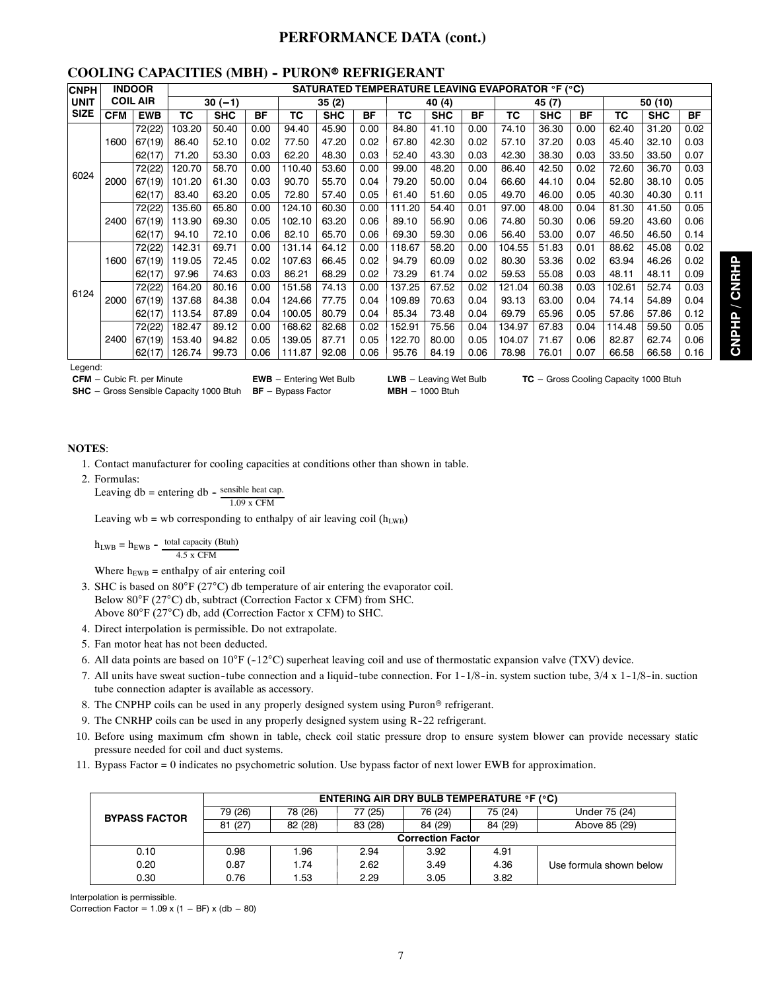#### **PERFORMANCE DATA (cont.)**

#### **COOLING CAPACITIES (MBH) - PURON® REFRIGERANT**

| <b>CNPH</b> | <b>INDOOR</b> |                 |        |            |      |        |            |      | SATURATED TEMPERATURE LEAVING EVAPORATOR °F (°C) |            |           |        |            |           |        |            |           |
|-------------|---------------|-----------------|--------|------------|------|--------|------------|------|--------------------------------------------------|------------|-----------|--------|------------|-----------|--------|------------|-----------|
| <b>UNIT</b> |               | <b>COIL AIR</b> |        | $30(-1)$   |      |        | 35(2)      |      |                                                  | 40 (4)     |           | 45 (7) |            |           |        | 50 (10)    |           |
| <b>SIZE</b> | <b>CFM</b>    | <b>EWB</b>      | ТC     | <b>SHC</b> | BF   | ТC     | <b>SHC</b> | ΒF   | ТC                                               | <b>SHC</b> | <b>BF</b> | ТC     | <b>SHC</b> | <b>BF</b> | ТC     | <b>SHC</b> | <b>BF</b> |
|             |               | 72(22)          | 103.20 | 50.40      | 0.00 | 94.40  | 45.90      | 0.00 | 84.80                                            | 41.10      | 0.00      | 74.10  | 36.30      | 0.00      | 62.40  | 31.20      | 0.02      |
|             | 1600          | 67(19)          | 86.40  | 52.10      | 0.02 | 77.50  | 47.20      | 0.02 | 67.80                                            | 42.30      | 0.02      | 57.10  | 37.20      | 0.03      | 45.40  | 32.10      | 0.03      |
|             |               | 62(17)          | 71.20  | 53.30      | 0.03 | 62.20  | 48.30      | 0.03 | 52.40                                            | 43.30      | 0.03      | 42.30  | 38.30      | 0.03      | 33.50  | 33.50      | 0.07      |
|             |               | 72(22)          | 120.70 | 58.70      | 0.00 | 110.40 | 53.60      | 0.00 | 99.00                                            | 48.20      | 0.00      | 86.40  | 42.50      | 0.02      | 72.60  | 36.70      | 0.03      |
| 6024        | 2000          | 67(19)          | 101.20 | 61.30      | 0.03 | 90.70  | 55.70      | 0.04 | 79.20                                            | 50.00      | 0.04      | 66.60  | 44.10      | 0.04      | 52.80  | 38.10      | 0.05      |
|             |               | 62(17)          | 83.40  | 63.20      | 0.05 | 72.80  | 57.40      | 0.05 | 61.40                                            | 51.60      | 0.05      | 49.70  | 46.00      | 0.05      | 40.30  | 40.30      | 0.11      |
|             | 2400          | 72(22)          | 135.60 | 65.80      | 0.00 | 124.10 | 60.30      | 0.00 | 111.20                                           | 54.40      | 0.01      | 97.00  | 48.00      | 0.04      | 81.30  | 41.50      | 0.05      |
|             |               | 67(19)          | 113.90 | 69.30      | 0.05 | 102.10 | 63.20      | 0.06 | 89.10                                            | 56.90      | 0.06      | 74.80  | 50.30      | 0.06      | 59.20  | 43.60      | 0.06      |
|             |               | 62(17)          | 94.10  | 72.10      | 0.06 | 82.10  | 65.70      | 0.06 | 69.30                                            | 59.30      | 0.06      | 56.40  | 53.00      | 0.07      | 46.50  | 46.50      | 0.14      |
|             |               | 72(22)          | 142.31 | 69.71      | 0.00 | 131.14 | 64.12      | 0.00 | 118.67                                           | 58.20      | 0.00      | 104.55 | 51.83      | 0.01      | 88.62  | 45.08      | 0.02      |
|             | 1600          | 67(19)          | 119.05 | 72.45      | 0.02 | 107.63 | 66.45      | 0.02 | 94.79                                            | 60.09      | 0.02      | 80.30  | 53.36      | 0.02      | 63.94  | 46.26      | 0.02      |
|             |               | 62(17)          | 97.96  | 74.63      | 0.03 | 86.21  | 68.29      | 0.02 | 73.29                                            | 61.74      | 0.02      | 59.53  | 55.08      | 0.03      | 48.11  | 48.11      | 0.09      |
| 6124        |               | 72(22)          | 164.20 | 80.16      | 0.00 | 151.58 | 74.13      | 0.00 | 137.25                                           | 67.52      | 0.02      | 121.04 | 60.38      | 0.03      | 102.61 | 52.74      | 0.03      |
|             | 2000          | 67(19)          | 137.68 | 84.38      | 0.04 | 124.66 | 77.75      | 0.04 | 109.89                                           | 70.63      | 0.04      | 93.13  | 63.00      | 0.04      | 74.14  | 54.89      | 0.04      |
|             |               | 62(17)          | 113.54 | 87.89      | 0.04 | 100.05 | 80.79      | 0.04 | 85.34                                            | 73.48      | 0.04      | 69.79  | 65.96      | 0.05      | 57.86  | 57.86      | 0.12      |
|             |               | 72(22)          | 182.47 | 89.12      | 0.00 | 168.62 | 82.68      | 0.02 | 152.91                                           | 75.56      | 0.04      | 134.97 | 67.83      | 0.04      | 114.48 | 59.50      | 0.05      |
|             | 2400          | 67(19)          | 153.40 | 94.82      | 0.05 | 139.05 | 87.71      | 0.05 | 122.70                                           | 80.00      | 0.05      | 104.07 | 71.67      | 0.06      | 82.87  | 62.74      | 0.06      |
|             |               | 62(17)          | 126.74 | 99.73      | 0.06 | 111.87 | 92.08      | 0.06 | 95.76                                            | 84.19      | 0.06      | 78.98  | 76.01      | 0.07      | 66.58  | 66.58      | 0.16      |

Legend:

**CFM** -- Cubic Ft. per Minute **EWB** --- ENDIT CHERGING **LWB** --- Leaving Wet Bulb **TC** -- Gross Cooling Capacity 1000 Btuh

#### **NOTES**:

- 1. Contact manufacturer for cooling capacities at conditions other than shown in table.
- 2. Formulas:

Leaving  $db =$  entering  $db -$  sensible heat cap. 1.09 x CFM

Leaving wb = wb corresponding to enthalpy of air leaving coil  $(h_{LWB})$ 

 $h_{LWB} = h_{EWB} - \frac{\text{total capacity (Btuh)}}{4.5 \text{ x CFM}}$ 

Where  $h_{EWB}$  = enthalpy of air entering coil

- 3. SHC is based on 80°F (27°C) db temperature of air entering the evaporator coil. Below 80°F (27°C) db, subtract (Correction Factor x CFM) from SHC. Above 80°F (27°C) db, add (Correction Factor x CFM) to SHC.
- 4. Direct interpolation is permissible. Do not extrapolate.
- 5. Fan motor heat has not been deducted.
- 6. All data points are based on  $10^{\circ}F$  (-12 $^{\circ}C$ ) superheat leaving coil and use of thermostatic expansion valve (TXV) device.
- 7. All units have sweat suction-tube connection and a liquid-tube connection. For  $1-1/8$ -in. system suction tube,  $3/4 \times 1-1/8$ -in. suction tube connection adapter is available as accessory.
- 8. The CNPHP coils can be used in any properly designed system using Puron<sup>®</sup> refrigerant.
- 9. The CNRHP coils can be used in any properly designed system using R-22 refrigerant.
- 10. Before using maximum cfm shown in table, check coil static pressure drop to ensure system blower can provide necessary static pressure needed for coil and duct systems.
- 11. Bypass Factor = 0 indicates no psychometric solution. Use bypass factor of next lower EWB for approximation.

|                      |                          | <b>ENTERING AIR DRY BULB TEMPERATURE °F (°C)</b> |         |         |         |                         |  |  |  |  |  |  |  |  |  |
|----------------------|--------------------------|--------------------------------------------------|---------|---------|---------|-------------------------|--|--|--|--|--|--|--|--|--|
| <b>BYPASS FACTOR</b> | 79 (26)                  | 78 (26)                                          | 77 (25) | 76 (24) | 75 (24) | Under 75 (24)           |  |  |  |  |  |  |  |  |  |
|                      | 81 (27)                  | 82 (28)                                          | 83 (28) | 84 (29) | 84 (29) | Above 85 (29)           |  |  |  |  |  |  |  |  |  |
|                      | <b>Correction Factor</b> |                                                  |         |         |         |                         |  |  |  |  |  |  |  |  |  |
| 0.10                 | 0.98                     | ' .96                                            | 2.94    | 3.92    | 4.91    |                         |  |  |  |  |  |  |  |  |  |
| 0.20                 | 0.87                     | 1.74                                             | 2.62    | 3.49    | 4.36    | Use formula shown below |  |  |  |  |  |  |  |  |  |
| 0.30                 | 0.76                     | .53                                              | 2.29    | 3.05    | 3.82    |                         |  |  |  |  |  |  |  |  |  |

Interpolation is permissible.

Correction Factor =  $1.09 \times (1 - BF) \times (db - 80)$ 

**SHC** -- Gross Sensible Capacity 1000 Btuh **BF** -- Bypass Factor **MBH** -- 1000 Btuh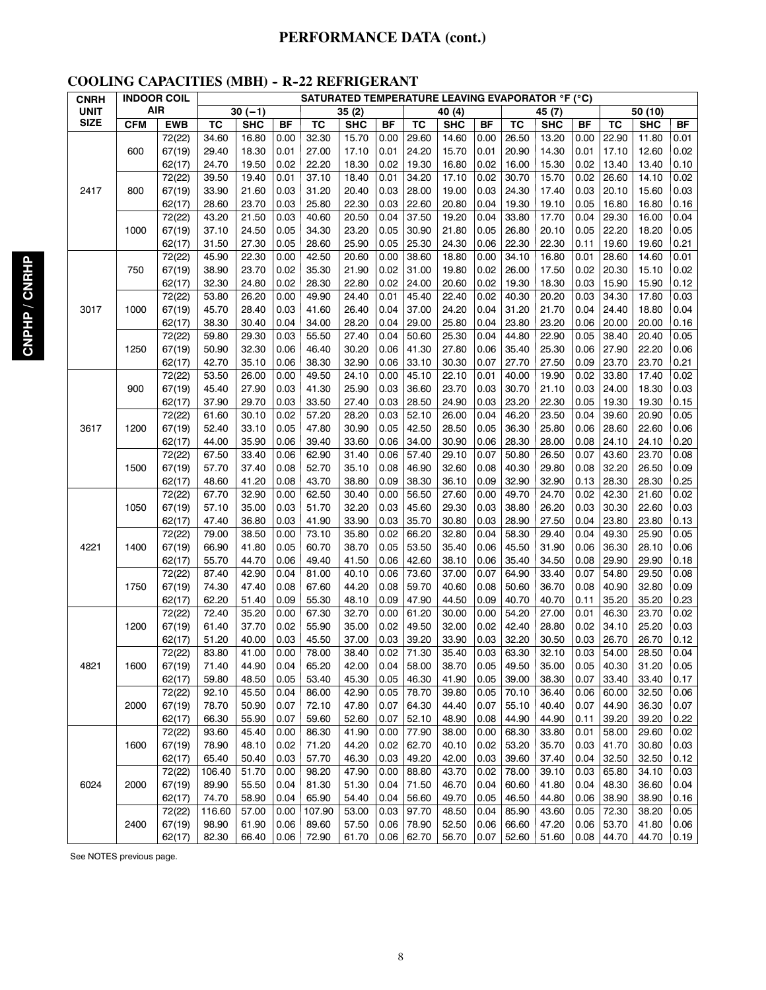# **PERFORMANCE DATA (cont.)**

# **COOLING CAPACITIES (MBH) - R-22 REFRIGERANT**

| <b>CNRH</b> | <b>INDOOR COIL</b> |            | $\sim$<br><b>SATURATED TEMPERATURE LEAVING EVAPORATOR °F (°C)</b> |            |           |        |            |           |              |            |           |              |            |      |              |            |           |
|-------------|--------------------|------------|-------------------------------------------------------------------|------------|-----------|--------|------------|-----------|--------------|------------|-----------|--------------|------------|------|--------------|------------|-----------|
| UNIT        | AIR                |            |                                                                   | $30(-1)$   |           |        | 35(2)      |           |              | 40 (4)     |           |              | 45 (7)     |      | 50 (10)      |            |           |
| <b>SIZE</b> | <b>CFM</b>         | <b>EWB</b> | TC                                                                | <b>SHC</b> | <b>BF</b> | TC     | <b>SHC</b> | <b>BF</b> | <b>TC</b>    | <b>SHC</b> | <b>BF</b> | TC           | <b>SHC</b> | ΒF   | <b>TC</b>    | <b>SHC</b> | <b>BF</b> |
|             |                    | 72(22)     | 34.60                                                             | 16.80      | 0.00      | 32.30  | 15.70      | 0.00      | 29.60        | 14.60      | 0.00      | 26.50        | 13.20      | 0.00 | 22.90        | 11.80      | 0.01      |
|             | 600                | 67(19)     | 29.40                                                             | 18.30      | 0.01      | 27.00  | 17.10      | 0.01      | 24.20        | 15.70      | 0.01      | 20.90        | 14.30      | 0.01 | 17.10        | 12.60      | 0.02      |
|             |                    | 62(17)     | 24.70                                                             | 19.50      | 0.02      | 22.20  | 18.30      | 0.02      | 19.30        | 16.80      | 0.02      | 16.00        | 15.30      | 0.02 | 13.40        | 13.40      | 0.10      |
|             |                    | 72(22)     | 39.50                                                             | 19.40      | 0.01      | 37.10  | 18.40      | 0.01      | 34.20        | 17.10      | 0.02      | 30.70        | 15.70      | 0.02 | 26.60        | 14.10      | 0.02      |
| 2417        | 800                | 67(19)     | 33.90                                                             | 21.60      | 0.03      | 31.20  | 20.40      | 0.03      | 28.00        | 19.00      | 0.03      | 24.30        | 17.40      | 0.03 | 20.10        | 15.60      | 0.03      |
|             |                    | 62(17)     | 28.60                                                             | 23.70      | 0.03      | 25.80  | 22.30      | 0.03      | 22.60        | 20.80      | 0.04      | 19.30        | 19.10      | 0.05 | 16.80        | 16.80      | 0.16      |
|             |                    | 72(22)     | 43.20                                                             | 21.50      | 0.03      | 40.60  | 20.50      | 0.04      | 37.50        | 19.20      | 0.04      | 33.80        | 17.70      | 0.04 | 29.30        | 16.00      | 0.04      |
|             | 1000               | 67(19)     | 37.10                                                             | 24.50      | 0.05      | 34.30  | 23.20      | 0.05      | 30.90        | 21.80      | 0.05      | 26.80        | 20.10      | 0.05 | 22.20        | 18.20      | 0.05      |
|             |                    | 62(17)     | 31.50                                                             | 27.30      | 0.05      | 28.60  | 25.90      | 0.05      | 25.30        | 24.30      | 0.06      | 22.30        | 22.30      | 0.11 | 19.60        | 19.60      | 0.21      |
|             |                    | 72(22)     | 45.90                                                             | 22.30      | 0.00      | 42.50  | 20.60      | 0.00      | 38.60        | 18.80      | 0.00      | 34.10        | 16.80      | 0.01 | 28.60        | 14.60      | 0.01      |
|             | 750                | 67(19)     | 38.90                                                             | 23.70      | 0.02      | 35.30  | 21.90      | 0.02      | 31.00        | 19.80      | 0.02      | 26.00        | 17.50      | 0.02 | 20.30        | 15.10      | 0.02      |
|             |                    | 62(17)     | 32.30                                                             | 24.80      | 0.02      | 28.30  | 22.80      | 0.02      | 24.00        | 20.60      | 0.02      | 19.30        | 18.30      | 0.03 | 15.90        | 15.90      | 0.12      |
|             |                    | 72(22)     | 53.80                                                             | 26.20      | 0.00      | 49.90  | 24.40      | 0.01      | 45.40        | 22.40      | 0.02      | 40.30        | 20.20      | 0.03 | 34.30        | 17.80      | 0.03      |
| 3017        | 1000               | 67(19)     | 45.70                                                             | 28.40      | 0.03      | 41.60  | 26.40      | 0.04      | 37.00        | 24.20      | 0.04      | 31.20        | 21.70      | 0.04 | 24.40        | 18.80      | 0.04      |
|             |                    | 62(17)     | 38.30                                                             | 30.40      | 0.04      | 34.00  | 28.20      | 0.04      | 29.00        | 25.80      | 0.04      | 23.80        | 23.20      | 0.06 | 20.00        | 20.00      | 0.16      |
|             |                    | 72(22)     | 59.80                                                             | 29.30      | 0.03      | 55.50  | 27.40      | 0.04      | 50.60        | 25.30      | 0.04      | 44.80        | 22.90      | 0.05 | 38.40        | 20.40      | 0.05      |
|             | 1250               | 67(19)     | 50.90                                                             | 32.30      | 0.06      | 46.40  | 30.20      | 0.06      | 41.30        | 27.80      | 0.06      | 35.40        | 25.30      | 0.06 | 27.90        | 22.20      | 0.06      |
|             |                    | 62(17)     | 42.70                                                             | 35.10      | 0.06      | 38.30  | 32.90      | 0.06      | 33.10        | 30.30      | 0.07      | 27.70        | 27.50      | 0.09 | 23.70        | 23.70      | 0.21      |
|             |                    | 72(22)     | 53.50                                                             | 26.00      | 0.00      | 49.50  | 24.10      | 0.00      | 45.10        | 22.10      | 0.01      | 40.00        | 19.90      | 0.02 | 33.80        | 17.40      | 0.02      |
|             | 900                | 67(19)     | 45.40                                                             | 27.90      | 0.03      | 41.30  | 25.90      | 0.03      | 36.60        | 23.70      | 0.03      | 30.70        | 21.10      | 0.03 | 24.00        | 18.30      | 0.03      |
|             |                    | 62(17)     | 37.90                                                             | 29.70      | 0.03      | 33.50  | 27.40      | 0.03      | 28.50        | 24.90      | 0.03      | 23.20        | 22.30      | 0.05 | 19.30        | 19.30      | 0.15      |
|             |                    | 72(22)     | 61.60                                                             | 30.10      | 0.02      | 57.20  | 28.20      | 0.03      | 52.10        | 26.00      | 0.04      | 46.20        | 23.50      | 0.04 | 39.60        | 20.90      | 0.05      |
| 3617        | 1200               | 67(19)     | 52.40                                                             | 33.10      | 0.05      | 47.80  | 30.90      | 0.05      | 42.50        | 28.50      | 0.05      | 36.30        | 25.80      | 0.06 | 28.60        | 22.60      | 0.06      |
|             |                    | 62(17)     | 44.00                                                             | 35.90      | 0.06      | 39.40  | 33.60      | 0.06      | 34.00        | 30.90      | 0.06      | 28.30        | 28.00      | 0.08 | 24.10        | 24.10      | 0.20      |
|             |                    | 72(22)     | 67.50                                                             | 33.40      | 0.06      | 62.90  | 31.40      | 0.06      | 57.40        | 29.10      | 0.07      | 50.80        | 26.50      | 0.07 | 43.60        | 23.70      | 0.08      |
|             | 1500               | 67(19)     | 57.70                                                             | 37.40      | 0.08      | 52.70  | 35.10      | 0.08      | 46.90        | 32.60      | 0.08      | 40.30        | 29.80      | 0.08 | 32.20        | 26.50      | 0.09      |
|             |                    | 62(17)     | 48.60                                                             | 41.20      | 0.08      | 43.70  | 38.80      | 0.09      | 38.30        | 36.10      | 0.09      | 32.90        | 32.90      | 0.13 | 28.30        | 28.30      | 0.25      |
|             |                    | 72(22)     | 67.70                                                             | 32.90      | 0.00      | 62.50  | 30.40      | 0.00      | 56.50        | 27.60      | 0.00      | 49.70        | 24.70      | 0.02 | 42.30        | 21.60      | 0.02      |
|             | 1050               | 67(19)     | 57.10                                                             | 35.00      | 0.03      | 51.70  | 32.20      | 0.03      | 45.60        | 29.30      | 0.03      | 38.80        | 26.20      | 0.03 | 30.30        | 22.60      | 0.03      |
|             |                    | 62(17)     | 47.40                                                             | 36.80      | 0.03      | 41.90  | 33.90      | 0.03      | 35.70        | 30.80      | 0.03      | 28.90        | 27.50      | 0.04 | 23.80        | 23.80      | 0.13      |
|             |                    | 72(22)     | 79.00                                                             | 38.50      | 0.00      | 73.10  | 35.80      | 0.02      | 66.20        | 32.80      | 0.04      | 58.30        | 29.40      | 0.04 | 49.30        | 25.90      | 0.05      |
| 4221        | 1400               | 67(19)     | 66.90                                                             | 41.80      | 0.05      | 60.70  | 38.70      | 0.05      | 53.50        | 35.40      | 0.06      | 45.50        | 31.90      | 0.06 | 36.30        | 28.10      | 0.06      |
|             |                    | 62(17)     | 55.70                                                             | 44.70      | 0.06      | 49.40  | 41.50      | 0.06      | 42.60        | 38.10      | 0.06      | 35.40        | 34.50      | 0.08 | 29.90        | 29.90      | 0.18      |
|             |                    | 72(22)     | 87.40                                                             | 42.90      | 0.04      | 81.00  | 40.10      | 0.06      | 73.60        | 37.00      | 0.07      | 64.90        | 33.40      | 0.07 | 54.80        | 29.50      | 0.08      |
|             | 1750               | 67(19)     | 74.30                                                             | 47.40      | 0.08      | 67.60  | 44.20      | 0.08      | 59.70        | 40.60      | 0.08      | 50.60        | 36.70      | 0.08 | 40.90        | 32.80      | 0.09      |
|             |                    | 62(17)     | 62.20                                                             | 51.40      | 0.09      | 55.30  | 48.10      | 0.09      | 47.90        | 44.50      | 0.09      | 40.70        | 40.70      | 0.11 | 35.20        | 35.20      | 0.23      |
|             |                    | 72(22)     | 72.40                                                             | 35.20      | 0.00      | 67.30  | 32.70      | 0.00      | 61.20        | 30.00      | 0.00      | 54.20        | 27.00      | 0.01 | 46.30        | 23.70      | 0.02      |
|             | 1200               | 67(19)     | 61.40                                                             | 37.70      | 0.02      | 55.90  | 35.00      | 0.02      | 49.50        | 32.00      | 0.02      | 42.40        | 28.80      | 0.02 | 34.10        | 25.20      | 0.03      |
|             |                    | 62(17)     | 51.20                                                             | 40.00      | 0.03      | 45.50  | 37.00      | 0.03      | 39.20        | 33.90      | 0.03      | 32.20        | 30.50      | 0.03 | 26.70        | 26.70      | 0.12      |
|             |                    | 72(22)     | 83.80                                                             | 41.00      | 0.00      | 78.00  | 38.40      |           | $0.02$ 71.30 | 35.40      |           | $0.03$ 63.30 | 32.10      |      | $0.03$ 54.00 | 28.50      | 0.04      |
| 4821        | 1600               | 67(19)     | 71.40                                                             | 44.90      | 0.04      | 65.20  | 42.00      | 0.04      | 58.00        | 38.70      | 0.05      | 49.50        | 35.00      | 0.05 | 40.30        | 31.20      | 0.05      |
|             |                    | 62(17)     | 59.80                                                             | 48.50      | 0.05      | 53.40  | 45.30      | 0.05      | 46.30        | 41.90      | 0.05      | 39.00        | 38.30      | 0.07 | 33.40        | 33.40      | 0.17      |
|             |                    | 72(22)     | 92.10                                                             | 45.50      | 0.04      | 86.00  | 42.90      | 0.05      | 78.70        | 39.80      | 0.05      | 70.10        | 36.40      | 0.06 | 60.00        | 32.50      | 0.06      |
|             | 2000               | 67(19)     | 78.70                                                             | 50.90      | 0.07      | 72.10  | 47.80      | 0.07      | 64.30        | 44.40      | 0.07      | 55.10        | 40.40      | 0.07 | 44.90        | 36.30      | 0.07      |
|             |                    | 62(17)     | 66.30                                                             | 55.90      | 0.07      | 59.60  | 52.60      | 0.07      | 52.10        | 48.90      | 0.08      | 44.90        | 44.90      | 0.11 | 39.20        | 39.20      | 0.22      |
|             |                    | 72(22)     | 93.60                                                             | 45.40      | 0.00      | 86.30  | 41.90      | 0.00      | 77.90        | 38.00      | 0.00      | 68.30        | 33.80      | 0.01 | 58.00        | 29.60      | 0.02      |
|             | 1600               | 67(19)     | 78.90                                                             | 48.10      | 0.02      | 71.20  | 44.20      | 0.02      | 62.70        | 40.10      | 0.02      | 53.20        | 35.70      | 0.03 | 41.70        | 30.80      | 0.03      |
|             |                    | 62(17)     | 65.40                                                             | 50.40      | 0.03      | 57.70  | 46.30      | 0.03      | 49.20        | 42.00      | 0.03      | 39.60        | 37.40      | 0.04 | 32.50        | 32.50      | 0.12      |
|             |                    | 72(22)     | 106.40                                                            | 51.70      | 0.00      | 98.20  | 47.90      | 0.00      | 88.80        | 43.70      | 0.02      | 78.00        | 39.10      | 0.03 | 65.80        | 34.10      | 0.03      |
| 6024        | 2000               | 67(19)     | 89.90                                                             | 55.50      | 0.04      | 81.30  | 51.30      | 0.04      | 71.50        | 46.70      | 0.04      | 60.60        | 41.80      | 0.04 | 48.30        | 36.60      | 0.04      |
|             |                    | 62(17)     | 74.70                                                             | 58.90      | 0.04      | 65.90  | 54.40      | 0.04      | 56.60        | 49.70      | 0.05      | 46.50        | 44.80      | 0.06 | 38.90        | 38.90      | 0.16      |
|             |                    | 72(22)     | 116.60                                                            | 57.00      | 0.00      | 107.90 | 53.00      | 0.03      | 97.70        | 48.50      | 0.04      | 85.90        | 43.60      | 0.05 | 72.30        | 38.20      | 0.05      |
|             | 2400               | 67(19)     | 98.90                                                             | 61.90      | 0.06      | 89.60  | 57.50      | 0.06      | 78.90        | 52.50      | 0.06      | 66.60        | 47.20      | 0.06 | 53.70        | 41.80      | 0.06      |
|             |                    | 62(17)     | 82.30                                                             | 66.40      | 0.06      | 72.90  | 61.70      |           | $0.06$ 62.70 | 56.70      | 0.07      | 52.60        | 51.60      | 0.08 | 44.70        | 44.70      | 0.19      |

See NOTES previous page.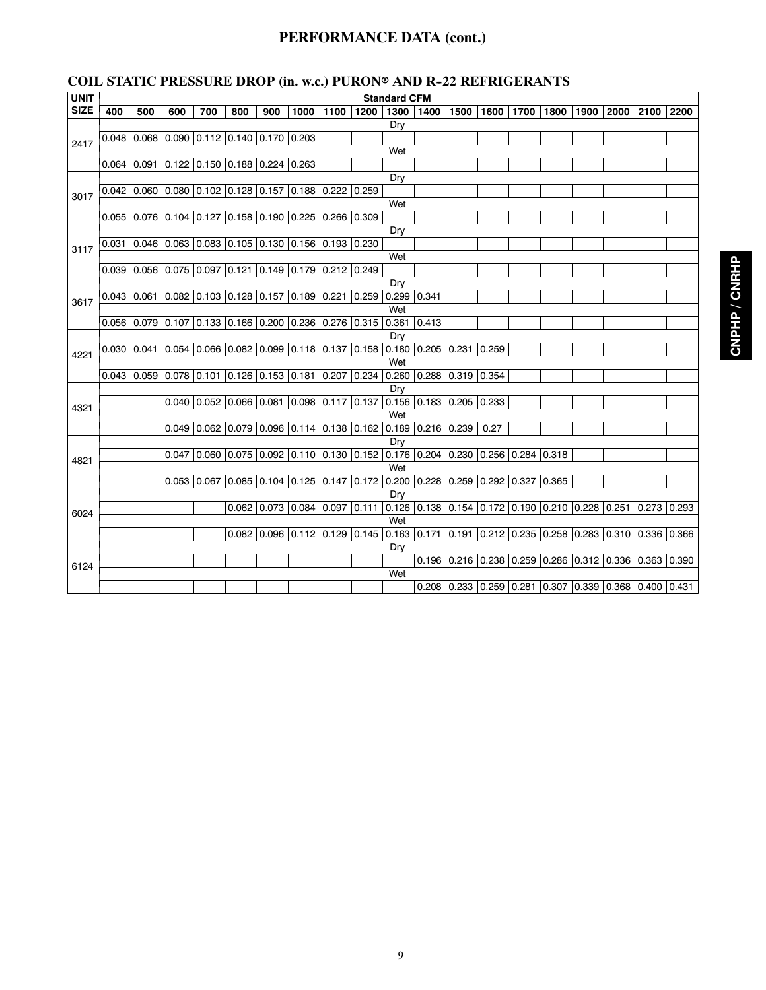# **PERFORMANCE DATA (cont.)**

|  | <b>COIL STATIC PRESSURE DROP (in. w.c.) PURON® AND R-22 REFRIGERANTS</b> |  |  |  |  |
|--|--------------------------------------------------------------------------|--|--|--|--|
|  |                                                                          |  |  |  |  |

| <b>UNIT</b> | <b>Standard CFM</b><br>  1500   1600   1700   1800   1900   2000 |     |     |     |                                                                                 |     |  |                |       |                       |                                 |  |                                                                                           |  |  |  |           |  |
|-------------|------------------------------------------------------------------|-----|-----|-----|---------------------------------------------------------------------------------|-----|--|----------------|-------|-----------------------|---------------------------------|--|-------------------------------------------------------------------------------------------|--|--|--|-----------|--|
| <b>SIZE</b> | 400                                                              | 500 | 600 | 700 | 800                                                                             | 900 |  | 1000 1100 1200 |       | 1300                  | 1400                            |  |                                                                                           |  |  |  | 2100 2200 |  |
|             |                                                                  |     |     |     |                                                                                 |     |  |                |       | Dry                   |                                 |  |                                                                                           |  |  |  |           |  |
| 2417        |                                                                  |     |     |     | $0.048$ 0.068 0.090 0.112 0.140 0.170 0.203                                     |     |  |                |       |                       |                                 |  |                                                                                           |  |  |  |           |  |
|             |                                                                  |     |     |     |                                                                                 |     |  |                |       | Wet                   |                                 |  |                                                                                           |  |  |  |           |  |
|             |                                                                  |     |     |     | $0.064$   0.091   0.122   0.150   0.188   0.224   0.263                         |     |  |                |       |                       |                                 |  |                                                                                           |  |  |  |           |  |
|             |                                                                  |     |     |     |                                                                                 |     |  |                |       | Dry                   |                                 |  |                                                                                           |  |  |  |           |  |
| 3017        |                                                                  |     |     |     | $0.042$ 0.060 0.080 0.102 0.128 0.157 0.188 0.222 0.259                         |     |  |                |       |                       |                                 |  |                                                                                           |  |  |  |           |  |
|             |                                                                  |     |     |     |                                                                                 |     |  |                |       | Wet                   |                                 |  |                                                                                           |  |  |  |           |  |
|             |                                                                  |     |     |     | $0.055$ 0.076 0.104 0.127 0.158 0.190 0.225 0.266                               |     |  |                | 0.309 |                       |                                 |  |                                                                                           |  |  |  |           |  |
|             | Dry<br>$0.031$ 0.046 0.063 0.083 0.105 0.130 0.156 0.193 0.230   |     |     |     |                                                                                 |     |  |                |       |                       |                                 |  |                                                                                           |  |  |  |           |  |
| 3117        |                                                                  |     |     |     |                                                                                 |     |  |                |       |                       |                                 |  |                                                                                           |  |  |  |           |  |
|             |                                                                  |     |     |     |                                                                                 |     |  |                |       | Wet                   |                                 |  |                                                                                           |  |  |  |           |  |
|             |                                                                  |     |     |     | $0.039$ 0.056 0.075 0.097 0.121 0.149 0.179 0.212 0.249                         |     |  |                |       |                       |                                 |  |                                                                                           |  |  |  |           |  |
|             |                                                                  |     |     |     |                                                                                 |     |  |                |       | Dry                   |                                 |  |                                                                                           |  |  |  |           |  |
| 3617        |                                                                  |     |     |     | $0.043$ 0.061 0.082 0.103 0.128 0.157 0.189 0.221                               |     |  |                |       | 0.259   0.299   0.341 |                                 |  |                                                                                           |  |  |  |           |  |
|             |                                                                  |     |     |     |                                                                                 |     |  |                |       | Wet                   |                                 |  |                                                                                           |  |  |  |           |  |
|             |                                                                  |     |     |     | 0.056 0.079 0.107 0.133 0.166 0.200 0.236 0.276 0.315 0.361 0.413               |     |  |                |       |                       |                                 |  |                                                                                           |  |  |  |           |  |
|             |                                                                  |     |     |     | $0.030$ 0.041 0.054 0.066 0.082 0.099 0.118 0.137 0.158 0.180 0.205 0.231 0.259 |     |  |                |       | Dry                   |                                 |  |                                                                                           |  |  |  |           |  |
| 4221        |                                                                  |     |     |     |                                                                                 |     |  |                |       | Wet                   |                                 |  |                                                                                           |  |  |  |           |  |
|             |                                                                  |     |     |     | $0.043$ 0.059 0.078 0.101 0.126 0.153 0.181 0.207                               |     |  |                |       |                       | $0.234$ 0.260 0.288 0.319 0.354 |  |                                                                                           |  |  |  |           |  |
|             |                                                                  |     |     |     |                                                                                 |     |  |                |       | Dry                   |                                 |  |                                                                                           |  |  |  |           |  |
|             |                                                                  |     |     |     | $0.040$ 0.052 0.066 0.081 0.098 0.117                                           |     |  |                |       |                       | $0.137$ 0.156 0.183 0.205 0.233 |  |                                                                                           |  |  |  |           |  |
| 4321        |                                                                  |     |     |     |                                                                                 |     |  |                |       | Wet                   |                                 |  |                                                                                           |  |  |  |           |  |
|             |                                                                  |     |     |     | 0.049 0.062 0.079 0.096 0.114 0.138 0.162 0.189 0.216 0.239                     |     |  |                |       |                       |                                 |  | 0.27                                                                                      |  |  |  |           |  |
|             |                                                                  |     |     |     |                                                                                 |     |  |                |       | Dry                   |                                 |  |                                                                                           |  |  |  |           |  |
|             |                                                                  |     |     |     | 0.047 0.060 0.075 0.092 0.110 0.130 0.152 0.176 0.204 0.230 0.256 0.284 0.318   |     |  |                |       |                       |                                 |  |                                                                                           |  |  |  |           |  |
| 4821        |                                                                  |     |     |     |                                                                                 |     |  |                |       | Wet                   |                                 |  |                                                                                           |  |  |  |           |  |
|             |                                                                  |     |     |     | 0.053 0.067 0.085 0.104 0.125 0.147 0.172 0.200 0.228 0.259 0.292 0.327 0.365   |     |  |                |       |                       |                                 |  |                                                                                           |  |  |  |           |  |
|             |                                                                  |     |     |     |                                                                                 |     |  |                |       | Dry                   |                                 |  |                                                                                           |  |  |  |           |  |
| 6024        |                                                                  |     |     |     |                                                                                 |     |  |                |       |                       |                                 |  | 0.062 0.073 0.084 0.097 0.111 0.126 0.138 0.154 0.172 0.190 0.210 0.228 0.251 0.273 0.293 |  |  |  |           |  |
|             |                                                                  |     |     |     |                                                                                 |     |  |                |       | Wet                   |                                 |  |                                                                                           |  |  |  |           |  |
|             |                                                                  |     |     |     |                                                                                 |     |  |                |       |                       |                                 |  | 0.082 0.096 0.112 0.129 0.145 0.163 0.171 0.191 0.212 0.235 0.258 0.263 0.310 0.336 0.366 |  |  |  |           |  |
|             |                                                                  |     |     |     |                                                                                 |     |  |                |       | Dry                   |                                 |  |                                                                                           |  |  |  |           |  |
| 6124        |                                                                  |     |     |     |                                                                                 |     |  |                |       |                       |                                 |  | 0.196 0.216 0.238 0.259 0.286 0.312 0.336 0.363 0.390                                     |  |  |  |           |  |
|             |                                                                  |     |     |     |                                                                                 |     |  |                |       | Wet                   |                                 |  |                                                                                           |  |  |  |           |  |
|             |                                                                  |     |     |     |                                                                                 |     |  |                |       |                       |                                 |  | $0.208$ $0.233$ $0.259$ $0.281$ $0.307$ $0.339$ $0.368$ $0.400$ $0.431$                   |  |  |  |           |  |